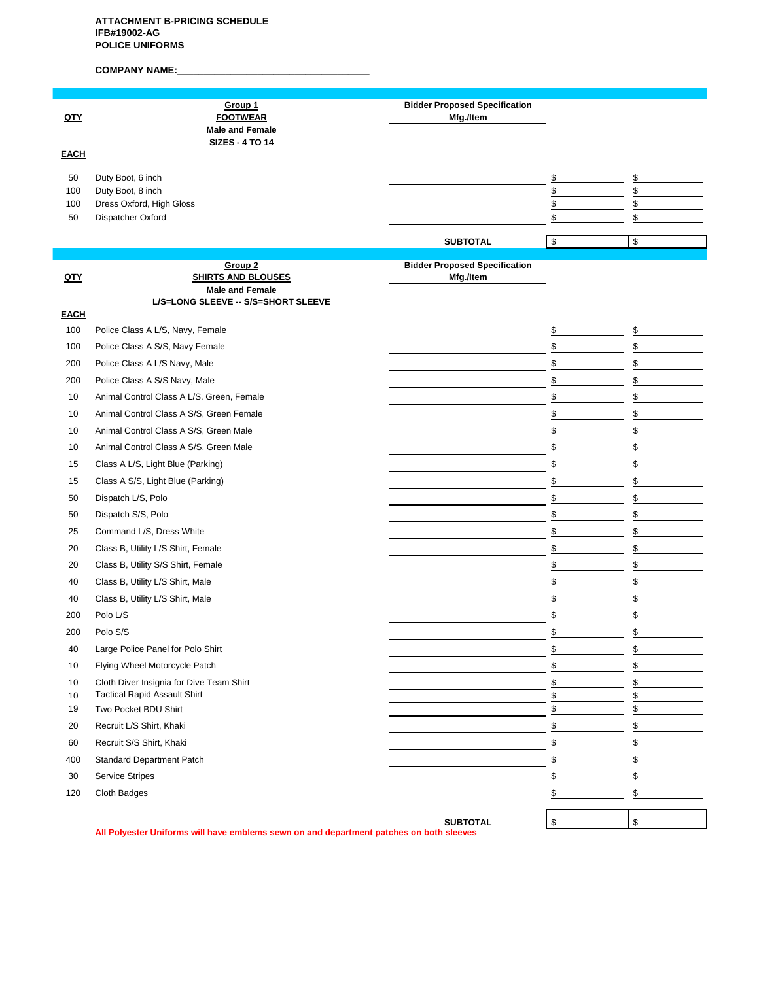## **ATTACHMENT B-PRICING SCHEDULE IFB#19002-AG POLICE UNIFORMS**

# COMPANY NAME:

| QTY                    | Group 1<br><b>FOOTWEAR</b><br><b>Male and Female</b><br><b>SIZES - 4 TO 14</b>          | <b>Bidder Proposed Specification</b><br>Mfg./Item |                      |                      |
|------------------------|-----------------------------------------------------------------------------------------|---------------------------------------------------|----------------------|----------------------|
| <b>EACH</b>            |                                                                                         |                                                   |                      |                      |
| 50<br>100<br>100<br>50 | Duty Boot, 6 inch<br>Duty Boot, 8 inch<br>Dress Oxford, High Gloss<br>Dispatcher Oxford |                                                   | \$<br>\$<br>\$<br>\$ | \$<br>\$<br>\$<br>\$ |
|                        |                                                                                         | <b>SUBTOTAL</b>                                   | \$                   | \$                   |
| <u>QTY</u>             | Group <sub>2</sub><br><b>SHIRTS AND BLOUSES</b><br><b>Male and Female</b>               | <b>Bidder Proposed Specification</b><br>Mfg./Item |                      |                      |
| <b>EACH</b>            | L/S=LONG SLEEVE -- S/S=SHORT SLEEVE                                                     |                                                   |                      |                      |
| 100                    | Police Class A L/S, Navy, Female                                                        |                                                   | \$                   | \$                   |
| 100                    | Police Class A S/S, Navy Female                                                         |                                                   | \$                   | \$                   |
| 200                    | Police Class A L/S Navy, Male                                                           |                                                   | \$                   | \$                   |
| 200                    | Police Class A S/S Navy, Male                                                           |                                                   | \$                   | \$                   |
| 10                     | Animal Control Class A L/S. Green, Female                                               |                                                   | \$                   | \$                   |
| 10                     | Animal Control Class A S/S, Green Female                                                |                                                   | \$                   | \$                   |
| 10                     | Animal Control Class A S/S, Green Male                                                  |                                                   | \$                   | \$                   |
| 10                     | Animal Control Class A S/S, Green Male                                                  |                                                   | \$                   | \$                   |
| 15                     | Class A L/S, Light Blue (Parking)                                                       |                                                   | \$                   | \$                   |
| 15                     | Class A S/S, Light Blue (Parking)                                                       |                                                   | \$                   | \$                   |
| 50                     | Dispatch L/S, Polo                                                                      |                                                   | \$                   | \$                   |
| 50                     | Dispatch S/S, Polo                                                                      |                                                   | \$                   | \$                   |
| 25                     | Command L/S, Dress White                                                                |                                                   | \$                   | \$                   |
| 20                     | Class B, Utility L/S Shirt, Female                                                      |                                                   | \$                   | \$                   |
| 20                     | Class B, Utility S/S Shirt, Female                                                      |                                                   | \$                   | \$                   |
| 40                     | Class B, Utility L/S Shirt, Male                                                        |                                                   | \$                   | \$                   |
| 40                     | Class B, Utility L/S Shirt, Male                                                        |                                                   | \$                   | \$                   |
| 200                    | Polo L/S                                                                                |                                                   | \$                   | \$                   |
| 200                    | Polo S/S                                                                                |                                                   | \$                   | \$                   |
| 40                     | Large Police Panel for Polo Shirt                                                       |                                                   | \$                   | \$                   |
| 10                     | Flying Wheel Motorcycle Patch                                                           |                                                   | \$                   | \$                   |
| 10                     | Cloth Diver Insignia for Dive Team Shirt                                                |                                                   | \$                   | \$                   |
| 10<br>19               | <b>Tactical Rapid Assault Shirt</b><br>Two Pocket BDU Shirt                             |                                                   | \$<br>\$             | \$<br>\$             |
| 20                     | Recruit L/S Shirt, Khaki                                                                |                                                   | \$                   | \$                   |
| 60                     | Recruit S/S Shirt, Khaki                                                                |                                                   | $\S$                 | \$                   |
| 400                    | Standard Department Patch                                                               |                                                   | $\underline{\$}$     | \$                   |
| 30                     | <b>Service Stripes</b>                                                                  |                                                   | \$                   | \$                   |
| 120                    | Cloth Badges                                                                            |                                                   | \$                   | \$                   |
|                        |                                                                                         |                                                   |                      |                      |
|                        |                                                                                         | <b>SUBTOTAL</b>                                   | \$                   | \$                   |

**All Polyester Uniforms will have emblems sewn on and department patches on both sleeves**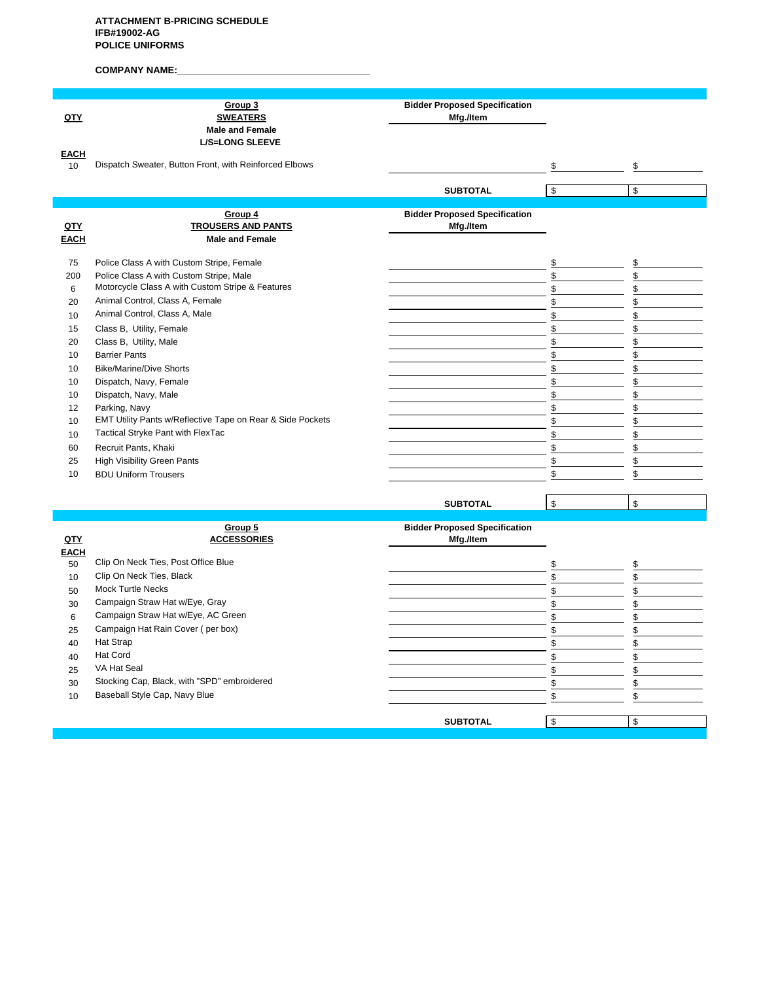# **COMPANY NAME:\_\_\_\_\_\_\_\_\_\_\_\_\_\_\_\_\_\_\_\_\_\_\_\_\_\_\_\_\_\_\_\_\_\_\_\_**

|             | Group 3                                                                              | <b>Bidder Proposed Specification</b> |          |    |
|-------------|--------------------------------------------------------------------------------------|--------------------------------------|----------|----|
| QTY         | <b>SWEATERS</b>                                                                      | Mfg./Item                            |          |    |
|             | <b>Male and Female</b>                                                               |                                      |          |    |
|             | <b>L/S=LONG SLEEVE</b>                                                               |                                      |          |    |
| <b>EACH</b> | Dispatch Sweater, Button Front, with Reinforced Elbows                               |                                      |          |    |
| 10          |                                                                                      |                                      | \$       | \$ |
|             |                                                                                      | <b>SUBTOTAL</b>                      | \$       | \$ |
|             |                                                                                      |                                      |          |    |
|             | Group 4                                                                              | <b>Bidder Proposed Specification</b> |          |    |
| QTY         | <b>TROUSERS AND PANTS</b>                                                            | Mfg./Item                            |          |    |
| <b>EACH</b> | <b>Male and Female</b>                                                               |                                      |          |    |
| 75          |                                                                                      |                                      |          | \$ |
| 200         | Police Class A with Custom Stripe, Female<br>Police Class A with Custom Stripe, Male |                                      | \$<br>\$ |    |
|             | Motorcycle Class A with Custom Stripe & Features                                     |                                      | \$       |    |
| 6           | Animal Control, Class A, Female                                                      |                                      | \$       |    |
| 20          | Animal Control, Class A, Male                                                        |                                      |          |    |
| 10          |                                                                                      |                                      | \$       |    |
| 15          | Class B, Utility, Female                                                             |                                      | \$       | \$ |
| 20          | Class B, Utility, Male                                                               |                                      | \$       |    |
| 10          | <b>Barrier Pants</b>                                                                 |                                      | \$       |    |
| 10          | <b>Bike/Marine/Dive Shorts</b>                                                       |                                      | \$       |    |
| 10          | Dispatch, Navy, Female                                                               |                                      | \$       |    |
| 10          | Dispatch, Navy, Male                                                                 |                                      | \$       |    |
| 12          | Parking, Navy                                                                        |                                      | \$       |    |
| 10          | EMT Utility Pants w/Reflective Tape on Rear & Side Pockets                           |                                      | \$       | \$ |
| 10          | Tactical Stryke Pant with FlexTac                                                    |                                      | \$       |    |
| 60          | Recruit Pants, Khaki                                                                 |                                      | \$       | \$ |
| 25          | <b>High Visibility Green Pants</b>                                                   |                                      | \$       |    |
| 10          | <b>BDU Uniform Trousers</b>                                                          |                                      | \$       | \$ |
|             |                                                                                      |                                      |          |    |
|             |                                                                                      | <b>SUBTOTAL</b>                      | \$       | \$ |
|             | Group 5                                                                              | <b>Ridder Pronosed Specification</b> |          |    |

|             | <u>Group 5</u>                              | <b>Bidder Proposed Specification</b> |          |
|-------------|---------------------------------------------|--------------------------------------|----------|
| QTY         | <b>ACCESSORIES</b>                          | Mfg./Item                            |          |
| <b>EACH</b> |                                             |                                      |          |
| 50          | Clip On Neck Ties, Post Office Blue         |                                      |          |
| 10          | Clip On Neck Ties, Black                    |                                      |          |
| 50          | <b>Mock Turtle Necks</b>                    |                                      |          |
| 30          | Campaign Straw Hat w/Eye, Gray              |                                      |          |
| 6           | Campaign Straw Hat w/Eye, AC Green          |                                      |          |
| 25          | Campaign Hat Rain Cover (per box)           |                                      |          |
| 40          | Hat Strap                                   |                                      |          |
| 40          | Hat Cord                                    |                                      |          |
| 25          | VA Hat Seal                                 |                                      |          |
| 30          | Stocking Cap, Black, with "SPD" embroidered |                                      |          |
| 10          | Baseball Style Cap, Navy Blue               |                                      |          |
|             |                                             |                                      |          |
|             |                                             | <b>SUBTOTAL</b>                      | \$<br>\$ |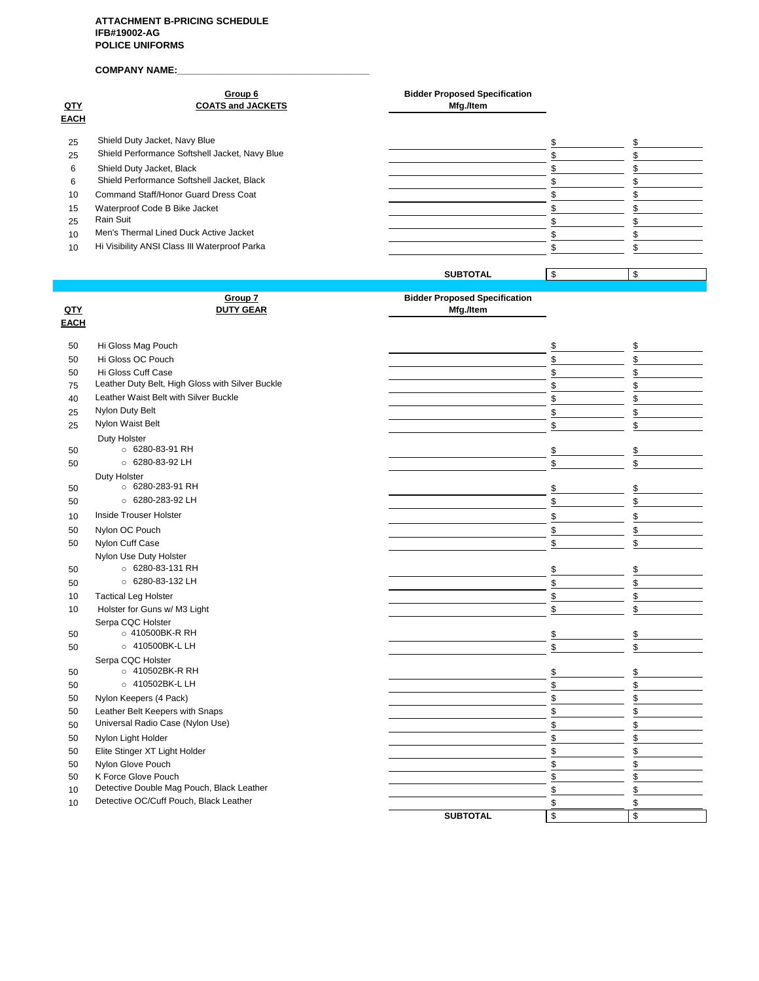# **COMPANY NAME:\_\_\_\_\_\_\_\_\_\_\_\_\_\_\_\_\_\_\_\_\_\_\_\_\_\_\_\_\_\_\_\_\_\_\_\_**

|             | Group 6                                        | <b>Bidder Proposed Specification</b> |    |
|-------------|------------------------------------------------|--------------------------------------|----|
| <u>QTY</u>  | <b>COATS and JACKETS</b>                       | Mfg./Item                            |    |
| <b>EACH</b> |                                                |                                      |    |
| 25          | Shield Duty Jacket, Navy Blue                  |                                      | ፍ  |
| 25          | Shield Performance Softshell Jacket, Navy Blue |                                      |    |
| 6           | Shield Duty Jacket, Black                      |                                      |    |
| 6           | Shield Performance Softshell Jacket, Black     |                                      |    |
| 10          | Command Staff/Honor Guard Dress Coat           |                                      |    |
| 15          | Waterproof Code B Bike Jacket                  |                                      |    |
| 25          | Rain Suit                                      |                                      |    |
| 10          | Men's Thermal Lined Duck Active Jacket         |                                      |    |
| 10          | Hi Visibility ANSI Class III Waterproof Parka  |                                      |    |
|             |                                                |                                      |    |
|             |                                                | <b>SUBTOTAL</b>                      | \$ |
|             |                                                |                                      |    |
|             | Group 7                                        | <b>Bidder Proposed Specification</b> |    |
| QTY         | <b>DUTY GEAR</b>                               | Mfg./Item                            |    |

| <b>EACH</b> |                                                  |                 |          |
|-------------|--------------------------------------------------|-----------------|----------|
|             |                                                  |                 |          |
| 50          | Hi Gloss Mag Pouch                               |                 | \$<br>\$ |
| 50          | Hi Gloss OC Pouch                                |                 | \$<br>\$ |
| 50          | Hi Gloss Cuff Case                               |                 | \$<br>\$ |
| 75          | Leather Duty Belt, High Gloss with Silver Buckle |                 | \$<br>\$ |
| 40          | Leather Waist Belt with Silver Buckle            |                 | \$<br>\$ |
| 25          | Nylon Duty Belt                                  |                 | \$<br>\$ |
| 25          | Nylon Waist Belt                                 |                 | \$<br>\$ |
|             | Duty Holster                                     |                 |          |
| 50          | © 6280-83-91 RH                                  |                 | \$<br>\$ |
| 50          | ○ 6280-83-92 LH                                  |                 | \$<br>\$ |
|             | Duty Holster                                     |                 |          |
| 50          | ○ 6280-283-91 RH                                 |                 | \$<br>\$ |
| 50          | $\circ$ 6280-283-92 LH                           |                 | \$<br>\$ |
| 10          | <b>Inside Trouser Holster</b>                    |                 | \$<br>\$ |
| 50          | Nylon OC Pouch                                   |                 | \$<br>\$ |
| 50          | Nylon Cuff Case                                  |                 | \$<br>\$ |
|             | Nylon Use Duty Holster                           |                 |          |
| 50          | ○ 6280-83-131 RH                                 |                 | \$<br>\$ |
| 50          | ○ 6280-83-132 LH                                 |                 | \$<br>\$ |
| 10          | <b>Tactical Leg Holster</b>                      |                 | \$<br>\$ |
| 10          | Holster for Guns w/ M3 Light                     |                 | \$<br>\$ |
|             | Serpa CQC Holster                                |                 |          |
| 50          | ○ 410500BK-R RH                                  |                 | \$<br>\$ |
| 50          | ○ 410500BK-L LH                                  |                 | \$<br>\$ |
|             | Serpa CQC Holster                                |                 |          |
| 50          | ○ 410502BK-R RH                                  |                 | \$<br>\$ |
| 50          | ○ 410502BK-L LH                                  |                 | \$<br>\$ |
| 50          | Nylon Keepers (4 Pack)                           |                 | \$<br>\$ |
| 50          | Leather Belt Keepers with Snaps                  |                 | \$<br>\$ |
| 50          | Universal Radio Case (Nylon Use)                 |                 | \$<br>\$ |
| 50          | Nylon Light Holder                               |                 | \$<br>\$ |
| 50          | Elite Stinger XT Light Holder                    |                 | \$<br>\$ |
| 50          | Nylon Glove Pouch                                |                 | \$<br>\$ |
| 50          | K Force Glove Pouch                              |                 | \$<br>\$ |
| 10          | Detective Double Mag Pouch, Black Leather        |                 | \$<br>\$ |
| 10          | Detective OC/Cuff Pouch, Black Leather           |                 | \$<br>\$ |
|             |                                                  | <b>SUBTOTAL</b> | \$<br>\$ |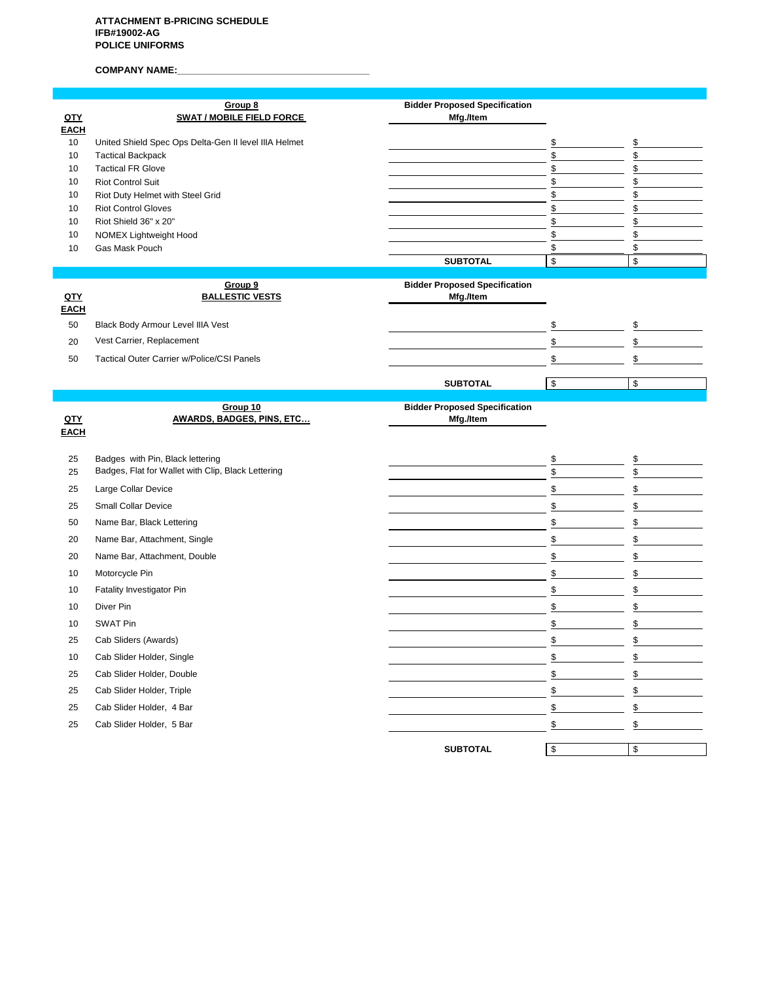COMPANY NAME:

|                    | Group 8                                               | <b>Bidder Proposed Specification</b>              |          |               |
|--------------------|-------------------------------------------------------|---------------------------------------------------|----------|---------------|
| QTY<br><b>EACH</b> | <b>SWAT / MOBILE FIELD FORCE</b>                      | Mfg./Item                                         |          |               |
| 10                 | United Shield Spec Ops Delta-Gen II level IIIA Helmet |                                                   | \$       | \$            |
| 10                 | <b>Tactical Backpack</b>                              |                                                   | \$       | \$            |
| 10                 | <b>Tactical FR Glove</b>                              |                                                   | \$       | \$            |
| 10                 | <b>Riot Control Suit</b>                              |                                                   | \$       | \$            |
| 10                 | Riot Duty Helmet with Steel Grid                      |                                                   | \$       | \$            |
| 10<br>10           | <b>Riot Control Gloves</b><br>Riot Shield 36" x 20"   |                                                   | \$<br>\$ | \$<br>\$      |
| 10                 | NOMEX Lightweight Hood                                |                                                   | \$       | \$            |
| 10                 | Gas Mask Pouch                                        |                                                   | \$       | \$            |
|                    |                                                       | <b>SUBTOTAL</b>                                   | \$       | \$            |
|                    |                                                       |                                                   |          |               |
| QTY                | Group 9<br><b>BALLESTIC VESTS</b>                     | <b>Bidder Proposed Specification</b><br>Mfg./Item |          |               |
| <b>EACH</b>        |                                                       |                                                   |          |               |
| 50                 | Black Body Armour Level IIIA Vest                     |                                                   | \$       | \$            |
| 20                 | Vest Carrier, Replacement                             |                                                   | \$       | $\mathbb{S}$  |
| 50                 | Tactical Outer Carrier w/Police/CSI Panels            |                                                   | \$       | \$            |
|                    |                                                       |                                                   |          |               |
|                    |                                                       | <b>SUBTOTAL</b>                                   | \$       | \$            |
|                    | Group 10                                              | <b>Bidder Proposed Specification</b>              |          |               |
| QTY                | <b>AWARDS, BADGES, PINS, ETC</b>                      | Mfg./Item                                         |          |               |
|                    |                                                       |                                                   |          |               |
| <b>EACH</b>        |                                                       |                                                   |          |               |
|                    |                                                       |                                                   |          |               |
| 25                 | Badges with Pin, Black lettering                      |                                                   | \$       | \$            |
| 25                 | Badges, Flat for Wallet with Clip, Black Lettering    |                                                   | \$       | $\mathfrak s$ |
| 25                 | Large Collar Device                                   |                                                   | \$       | \$            |
| 25                 | <b>Small Collar Device</b>                            |                                                   | \$       | \$            |
| 50                 | Name Bar, Black Lettering                             |                                                   | \$       | \$            |
| 20                 | Name Bar, Attachment, Single                          |                                                   | \$       | \$            |
| 20                 | Name Bar, Attachment, Double                          |                                                   | \$       | \$            |
| 10                 | Motorcycle Pin                                        |                                                   | \$       | \$            |
| 10                 | Fatality Investigator Pin                             |                                                   | \$       | \$            |
| 10                 | Diver Pin                                             |                                                   | \$       | \$            |
| 10                 | SWAT Pin                                              |                                                   | \$       | \$            |
| 25                 |                                                       |                                                   | \$       | \$            |
|                    | Cab Sliders (Awards)                                  |                                                   |          |               |
| 10                 | Cab Slider Holder, Single                             |                                                   | \$       | \$            |
| 25                 | Cab Slider Holder, Double                             |                                                   | \$       | \$            |
| 25                 | Cab Slider Holder, Triple                             |                                                   | \$       | \$            |
| 25                 | Cab Slider Holder, 4 Bar                              |                                                   | \$       | \$            |
| 25                 | Cab Slider Holder, 5 Bar                              |                                                   | \$       | \$            |